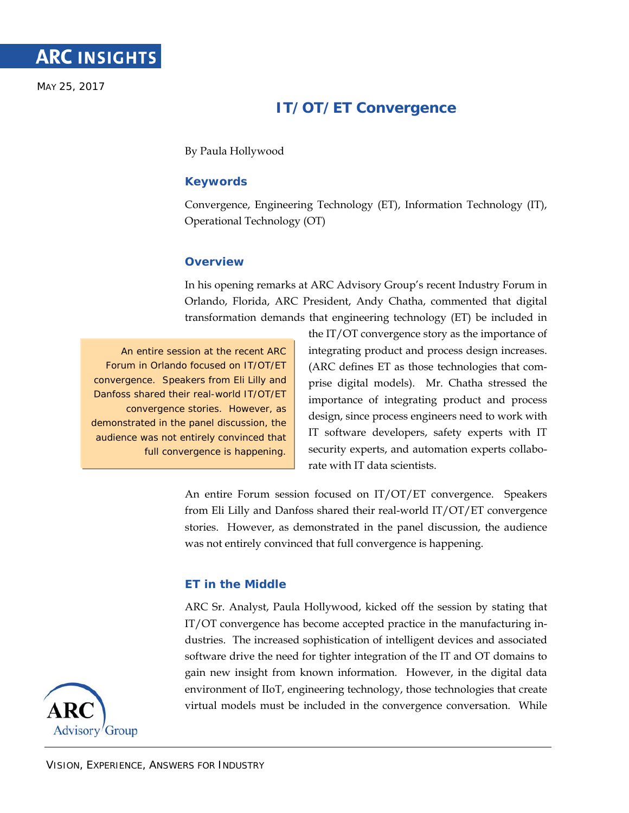MAY 25, 2017

# **IT/OT/ET Convergence**

By Paula Hollywood

# **Keywords**

Convergence, Engineering Technology (ET), Information Technology (IT), Operational Technology (OT)

## **Overview**

In his opening remarks at ARC Advisory Group's recent Industry Forum in Orlando, Florida, ARC President, Andy Chatha, commented that digital transformation demands that engineering technology (ET) be included in

An entire session at the recent ARC Forum in Orlando focused on IT/OT/ET convergence. Speakers from Eli Lilly and Danfoss shared their real-world IT/OT/ET convergence stories. However, as demonstrated in the panel discussion, the audience was not entirely convinced that full convergence is happening.

the IT/OT convergence story as the importance of integrating product and process design increases. (ARC defines ET as those technologies that comprise digital models). Mr. Chatha stressed the importance of integrating product and process design, since process engineers need to work with IT software developers, safety experts with IT security experts, and automation experts collaborate with IT data scientists.

An entire Forum session focused on IT/OT/ET convergence. Speakers from Eli Lilly and Danfoss shared their real-world IT/OT/ET convergence stories. However, as demonstrated in the panel discussion, the audience was not entirely convinced that full convergence is happening.

# **ET in the Middle**

ARC Sr. Analyst, Paula Hollywood, kicked off the session by stating that IT/OT convergence has become accepted practice in the manufacturing industries. The increased sophistication of intelligent devices and associated software drive the need for tighter integration of the IT and OT domains to gain new insight from known information. However, in the digital data environment of IIoT, engineering technology, those technologies that create virtual models must be included in the convergence conversation. While

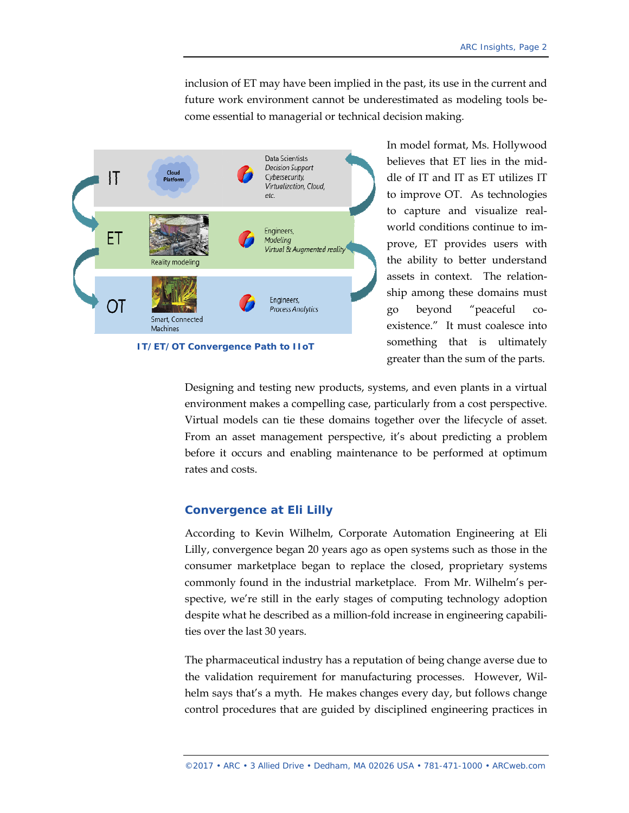inclusion of ET may have been implied in the past, its use in the current and future work environment cannot be underestimated as modeling tools become essential to managerial or technical decision making.



**IT/ET/OT Convergence Path to IIoT** 

In model format, Ms. Hollywood believes that ET lies in the middle of IT and IT as ET utilizes IT to improve OT. As technologies to capture and visualize realworld conditions continue to improve, ET provides users with the ability to better understand assets in context. The relationship among these domains must go beyond "peaceful coexistence." It must coalesce into something that is ultimately greater than the sum of the parts.

Designing and testing new products, systems, and even plants in a virtual environment makes a compelling case, particularly from a cost perspective. Virtual models can tie these domains together over the lifecycle of asset. From an asset management perspective, it's about predicting a problem before it occurs and enabling maintenance to be performed at optimum rates and costs.

## **Convergence at Eli Lilly**

According to Kevin Wilhelm, Corporate Automation Engineering at Eli Lilly, convergence began 20 years ago as open systems such as those in the consumer marketplace began to replace the closed, proprietary systems commonly found in the industrial marketplace. From Mr. Wilhelm's perspective, we're still in the early stages of computing technology adoption despite what he described as a million-fold increase in engineering capabilities over the last 30 years.

The pharmaceutical industry has a reputation of being change averse due to the validation requirement for manufacturing processes. However, Wilhelm says that's a myth. He makes changes every day, but follows change control procedures that are guided by disciplined engineering practices in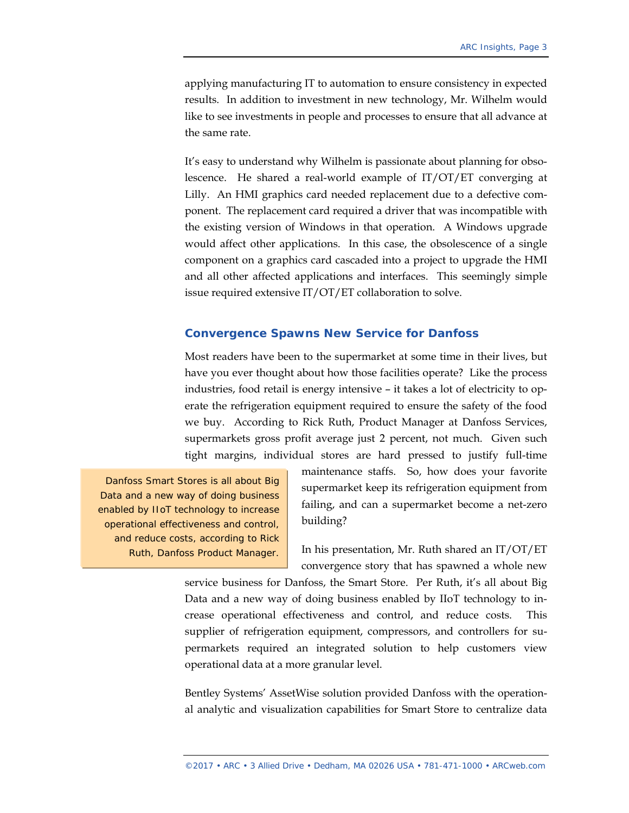applying manufacturing IT to automation to ensure consistency in expected results. In addition to investment in new technology, Mr. Wilhelm would like to see investments in people and processes to ensure that all advance at the same rate.

It's easy to understand why Wilhelm is passionate about planning for obsolescence. He shared a real-world example of IT/OT/ET converging at Lilly. An HMI graphics card needed replacement due to a defective component. The replacement card required a driver that was incompatible with the existing version of Windows in that operation. A Windows upgrade would affect other applications. In this case, the obsolescence of a single component on a graphics card cascaded into a project to upgrade the HMI and all other affected applications and interfaces. This seemingly simple issue required extensive IT/OT/ET collaboration to solve.

### **Convergence Spawns New Service for Danfoss**

Most readers have been to the supermarket at some time in their lives, but have you ever thought about how those facilities operate? Like the process industries, food retail is energy intensive – it takes a lot of electricity to operate the refrigeration equipment required to ensure the safety of the food we buy. According to Rick Ruth, Product Manager at Danfoss Services, supermarkets gross profit average just 2 percent, not much. Given such tight margins, individual stores are hard pressed to justify full-time

Danfoss Smart Stores is all about Big Data and a new way of doing business enabled by IIoT technology to increase operational effectiveness and control, and reduce costs, according to Rick Ruth, Danfoss Product Manager.

maintenance staffs. So, how does your favorite supermarket keep its refrigeration equipment from failing, and can a supermarket become a net-zero building?

In his presentation, Mr. Ruth shared an IT/OT/ET convergence story that has spawned a whole new

service business for Danfoss, the Smart Store. Per Ruth, it's all about Big Data and a new way of doing business enabled by IIoT technology to increase operational effectiveness and control, and reduce costs. This supplier of refrigeration equipment, compressors, and controllers for supermarkets required an integrated solution to help customers view operational data at a more granular level.

Bentley Systems' AssetWise solution provided Danfoss with the operational analytic and visualization capabilities for Smart Store to centralize data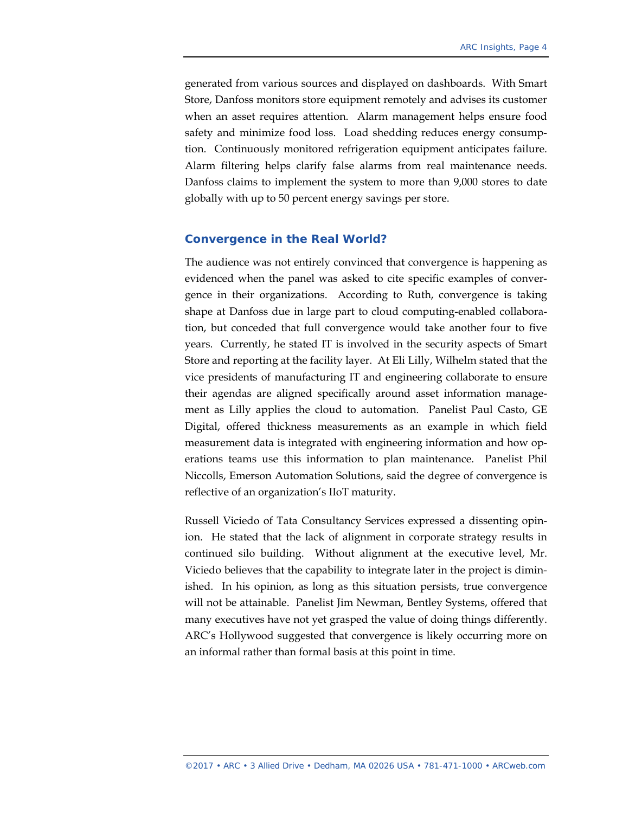generated from various sources and displayed on dashboards. With Smart Store, Danfoss monitors store equipment remotely and advises its customer when an asset requires attention. Alarm management helps ensure food safety and minimize food loss. Load shedding reduces energy consumption. Continuously monitored refrigeration equipment anticipates failure. Alarm filtering helps clarify false alarms from real maintenance needs. Danfoss claims to implement the system to more than 9,000 stores to date globally with up to 50 percent energy savings per store.

#### **Convergence in the Real World?**

The audience was not entirely convinced that convergence is happening as evidenced when the panel was asked to cite specific examples of convergence in their organizations. According to Ruth, convergence is taking shape at Danfoss due in large part to cloud computing-enabled collaboration, but conceded that full convergence would take another four to five years. Currently, he stated IT is involved in the security aspects of Smart Store and reporting at the facility layer. At Eli Lilly, Wilhelm stated that the vice presidents of manufacturing IT and engineering collaborate to ensure their agendas are aligned specifically around asset information management as Lilly applies the cloud to automation. Panelist Paul Casto, GE Digital, offered thickness measurements as an example in which field measurement data is integrated with engineering information and how operations teams use this information to plan maintenance. Panelist Phil Niccolls, Emerson Automation Solutions, said the degree of convergence is reflective of an organization's IIoT maturity.

Russell Viciedo of Tata Consultancy Services expressed a dissenting opinion. He stated that the lack of alignment in corporate strategy results in continued silo building. Without alignment at the executive level, Mr. Viciedo believes that the capability to integrate later in the project is diminished. In his opinion, as long as this situation persists, true convergence will not be attainable. Panelist Jim Newman, Bentley Systems, offered that many executives have not yet grasped the value of doing things differently. ARC's Hollywood suggested that convergence is likely occurring more on an informal rather than formal basis at this point in time.